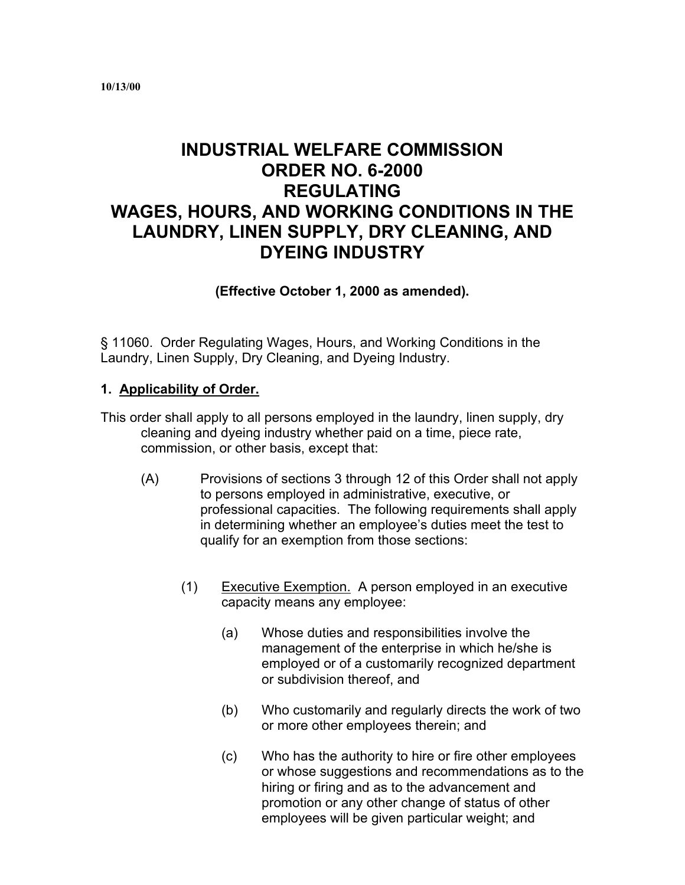# **INDUSTRIAL WELFARE COMMISSION ORDER NO. 6-2000 REGULATING WAGES, HOURS, AND WORKING CONDITIONS IN THE LAUNDRY, LINEN SUPPLY, DRY CLEANING, AND DYEING INDUSTRY**

**(Effective October 1, 2000 as amended).** 

§ 11060. Order Regulating Wages, Hours, and Working Conditions in the Laundry, Linen Supply, Dry Cleaning, and Dyeing Industry.

## **1. Applicability of Order.**

- This order shall apply to all persons employed in the laundry, linen supply, dry cleaning and dyeing industry whether paid on a time, piece rate, commission, or other basis, except that:
	- $(A)$ Provisions of sections 3 through 12 of this Order shall not apply to persons employed in administrative, executive, or professional capacities. The following requirements shall apply in determining whether an employee's duties meet the test to qualify for an exemption from those sections:
		- (1) Executive Exemption. A person employed in an executive capacity means any employee:
			- (a) Whose duties and responsibilities involve the management of the enterprise in which he/she is employed or of a customarily recognized department or subdivision thereof, and
			- (b) Who customarily and regularly directs the work of two or more other employees therein; and
			- (c) Who has the authority to hire or fire other employees or whose suggestions and recommendations as to the hiring or firing and as to the advancement and promotion or any other change of status of other employees will be given particular weight; and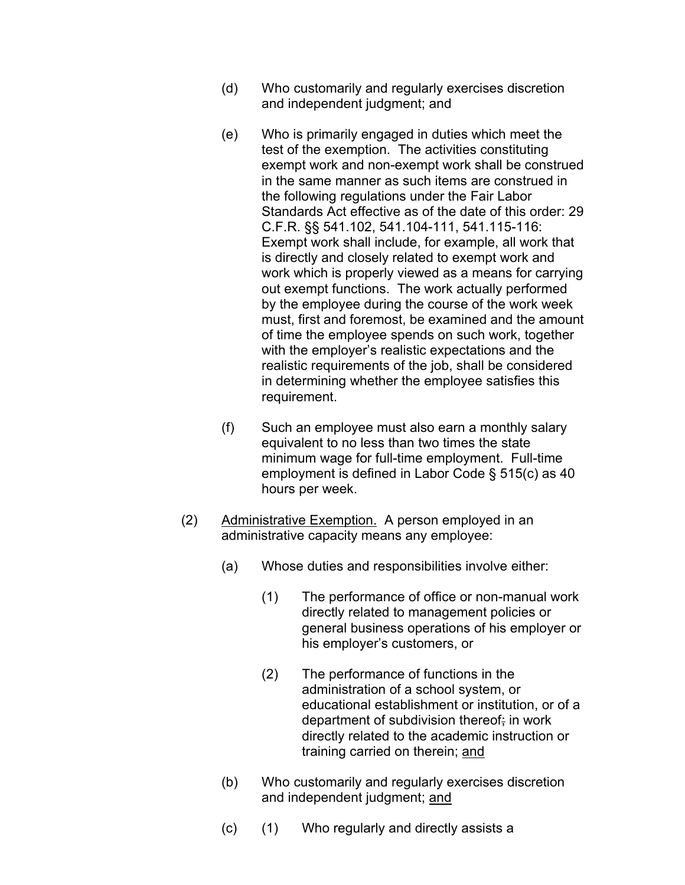- (d) Who customarily and regularly exercises discretion and independent judgment; and
- (e) Who is primarily engaged in duties which meet the test of the exemption. The activities constituting exempt work and non-exempt work shall be construed in the same manner as such items are construed in the following regulations under the Fair Labor Standards Act effective as of the date of this order: 29 C.F.R. §§ 541.102, 541.104-111, 541.115-116: Exempt work shall include, for example, all work that is directly and closely related to exempt work and work which is properly viewed as a means for carrying out exempt functions. The work actually performed by the employee during the course of the work week must, first and foremost, be examined and the amount of time the employee spends on such work, together with the employer's realistic expectations and the realistic requirements of the job, shall be considered in determining whether the employee satisfies this requirement.
- (f) Such an employee must also earn a monthly salary equivalent to no less than two times the state minimum wage for full-time employment. Full-time employment is defined in Labor Code § 515(c) as 40 hours per week.
- (2) Administrative Exemption. A person employed in an administrative capacity means any employee:
	- (a) Whose duties and responsibilities involve either:
		- (1) The performance of office or non-manual work directly related to management policies or general business operations of his employer or his employer's customers, or
		- (2) The performance of functions in the administration of a school system, or educational establishment or institution, or of a department of subdivision thereof; in work directly related to the academic instruction or training carried on therein; and
	- (b) Who customarily and regularly exercises discretion and independent judgment; and
	- (c) (1) Who regularly and directly assists a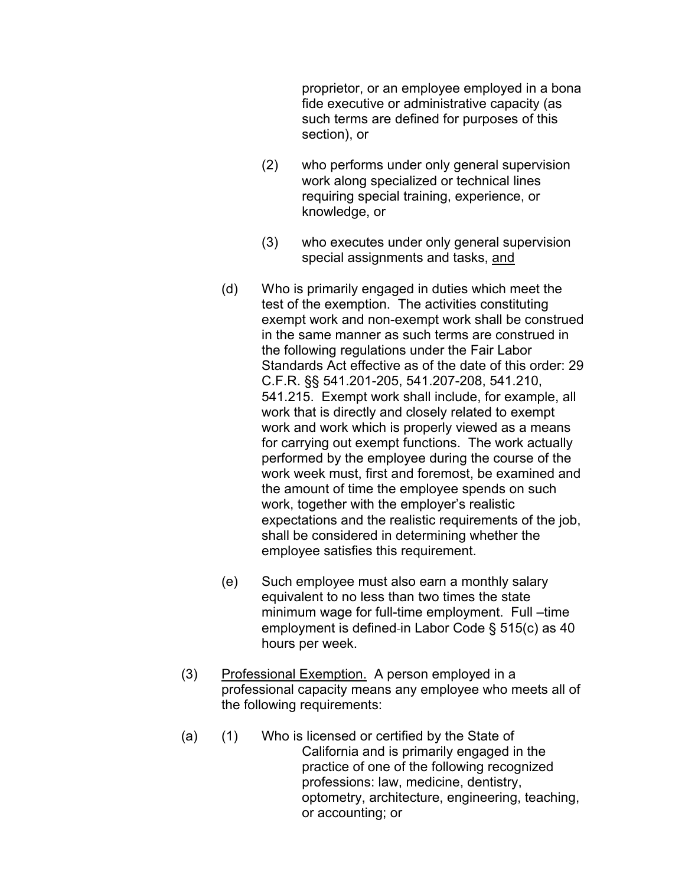proprietor, or an employee employed in a bona fide executive or administrative capacity (as such terms are defined for purposes of this section), or

- (2) who performs under only general supervision work along specialized or technical lines requiring special training, experience, or knowledge, or
- (3) who executes under only general supervision special assignments and tasks, and
- (d) Who is primarily engaged in duties which meet the test of the exemption. The activities constituting exempt work and non-exempt work shall be construed in the same manner as such terms are construed in the following regulations under the Fair Labor Standards Act effective as of the date of this order: 29 C.F.R. §§ 541.201-205, 541.207-208, 541.210, 541.215. Exempt work shall include, for example, all work that is directly and closely related to exempt work and work which is properly viewed as a means for carrying out exempt functions. The work actually performed by the employee during the course of the work week must, first and foremost, be examined and the amount of time the employee spends on such work, together with the employer's realistic expectations and the realistic requirements of the job, shall be considered in determining whether the employee satisfies this requirement.
- (e) Such employee must also earn a monthly salary equivalent to no less than two times the state minimum wage for full-time employment. Full –time employment is defined in Labor Code § 515(c) as 40 hours per week.
- (3) Professional Exemption. A person employed in a professional capacity means any employee who meets all of the following requirements:
- (a) (1) Who is licensed or certified by the State of California and is primarily engaged in the practice of one of the following recognized professions: law, medicine, dentistry, optometry, architecture, engineering, teaching, or accounting; or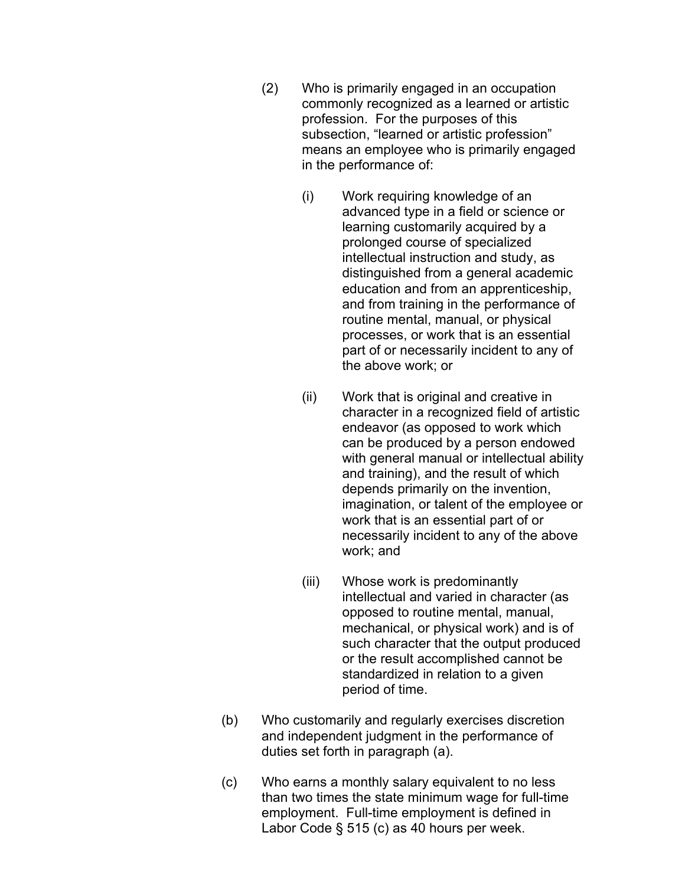- (2) Who is primarily engaged in an occupation commonly recognized as a learned or artistic profession. For the purposes of this subsection, "learned or artistic profession" means an employee who is primarily engaged in the performance of:
	- (i) Work requiring knowledge of an advanced type in a field or science or learning customarily acquired by a prolonged course of specialized intellectual instruction and study, as distinguished from a general academic education and from an apprenticeship, and from training in the performance of routine mental, manual, or physical processes, or work that is an essential part of or necessarily incident to any of the above work; or
	- (ii) Work that is original and creative in character in a recognized field of artistic endeavor (as opposed to work which can be produced by a person endowed with general manual or intellectual ability and training), and the result of which depends primarily on the invention, imagination, or talent of the employee or work that is an essential part of or necessarily incident to any of the above work; and
	- (iii) Whose work is predominantly intellectual and varied in character (as opposed to routine mental, manual, mechanical, or physical work) and is of such character that the output produced or the result accomplished cannot be standardized in relation to a given period of time.
- (b) Who customarily and regularly exercises discretion and independent judgment in the performance of duties set forth in paragraph (a).
- (c) Who earns a monthly salary equivalent to no less than two times the state minimum wage for full-time employment. Full-time employment is defined in Labor Code § 515 (c) as 40 hours per week.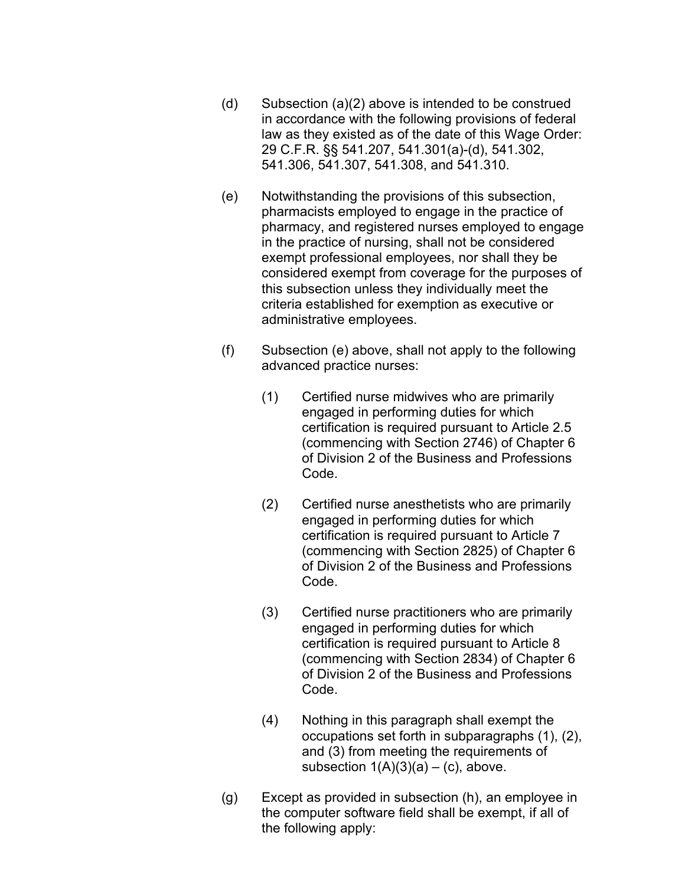- (d) Subsection  $(a)(2)$  above is intended to be construed in accordance with the following provisions of federal law as they existed as of the date of this Wage Order: 29 C.F.R. §§ 541.207, 541.301(a)-(d), 541.302, 541.306, 541.307, 541.308, and 541.310.
- (e) Notwithstanding the provisions of this subsection, pharmacists employed to engage in the practice of pharmacy, and registered nurses employed to engage in the practice of nursing, shall not be considered exempt professional employees, nor shall they be considered exempt from coverage for the purposes of this subsection unless they individually meet the criteria established for exemption as executive or administrative employees.
- (f) Subsection (e) above, shall not apply to the following advanced practice nurses:
	- (1) Certified nurse midwives who are primarily engaged in performing duties for which certification is required pursuant to Article 2.5 (commencing with Section 2746) of Chapter 6 of Division 2 of the Business and Professions Code.
	- (2) Certified nurse anesthetists who are primarily engaged in performing duties for which certification is required pursuant to Article 7 (commencing with Section 2825) of Chapter 6 of Division 2 of the Business and Professions Code.
	- (3) Certified nurse practitioners who are primarily engaged in performing duties for which certification is required pursuant to Article 8 (commencing with Section 2834) of Chapter 6 of Division 2 of the Business and Professions Code.
	- (4) Nothing in this paragraph shall exempt the occupations set forth in subparagraphs (1), (2), and (3) from meeting the requirements of subsection  $1(A)(3)(a) - (c)$ , above.
- (g) Except as provided in subsection (h), an employee in the computer software field shall be exempt, if all of the following apply: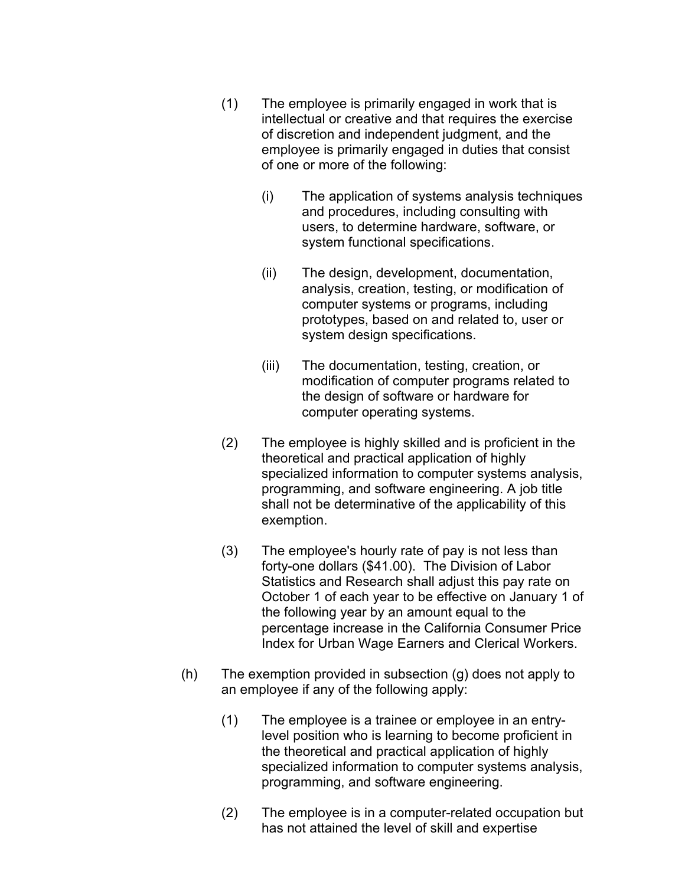- (1) The employee is primarily engaged in work that is intellectual or creative and that requires the exercise of discretion and independent judgment, and the employee is primarily engaged in duties that consist of one or more of the following:
	- (i) The application of systems analysis techniques and procedures, including consulting with users, to determine hardware, software, or system functional specifications.
	- (ii) The design, development, documentation, analysis, creation, testing, or modification of computer systems or programs, including prototypes, based on and related to, user or system design specifications.
	- (iii) The documentation, testing, creation, or modification of computer programs related to the design of software or hardware for computer operating systems.
- (2) The employee is highly skilled and is proficient in the theoretical and practical application of highly specialized information to computer systems analysis, programming, and software engineering. A job title shall not be determinative of the applicability of this exemption.
- (3) The employee's hourly rate of pay is not less than forty-one dollars (\$41.00). The Division of Labor Statistics and Research shall adjust this pay rate on October 1 of each year to be effective on January 1 of the following year by an amount equal to the percentage increase in the California Consumer Price Index for Urban Wage Earners and Clerical Workers.
- $(h)$  The exemption provided in subsection  $(g)$  does not apply to an employee if any of the following apply:
	- $(1)$  The employee is a trainee or employee in an entrylevel position who is learning to become proficient in the theoretical and practical application of highly specialized information to computer systems analysis, programming, and software engineering.
	- (2) The employee is in a computer-related occupation but has not attained the level of skill and expertise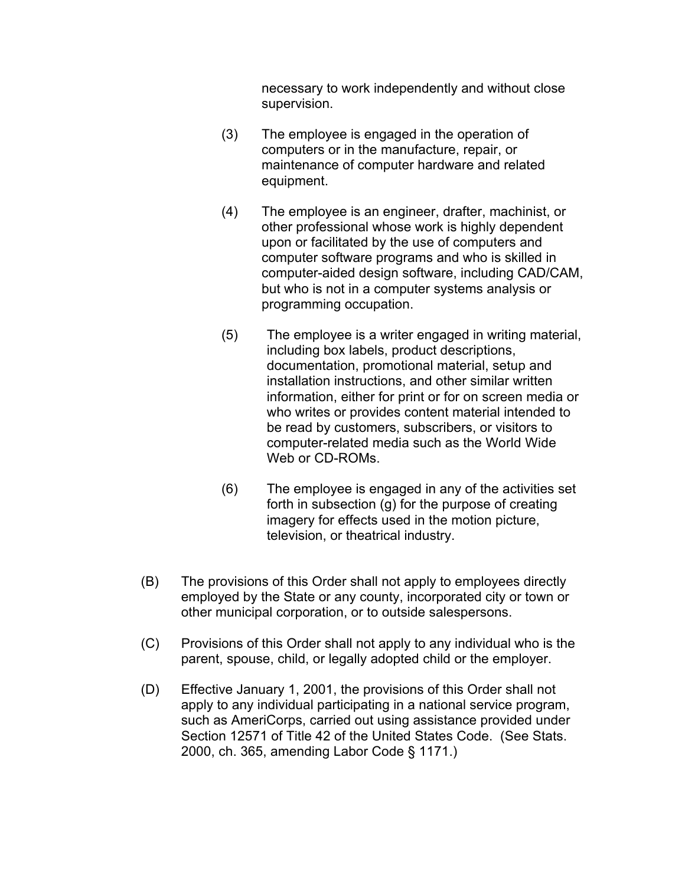necessary to work independently and without close supervision.

- (3) The employee is engaged in the operation of computers or in the manufacture, repair, or maintenance of computer hardware and related equipment.
- (4) The employee is an engineer, drafter, machinist, or other professional whose work is highly dependent upon or facilitated by the use of computers and computer software programs and who is skilled in computer-aided design software, including CAD/CAM, but who is not in a computer systems analysis or programming occupation.
- $(5)$ The employee is a writer engaged in writing material, including box labels, product descriptions, documentation, promotional material, setup and installation instructions, and other similar written information, either for print or for on screen media or who writes or provides content material intended to be read by customers, subscribers, or visitors to computer-related media such as the World Wide Web or CD-ROMs.
- $(6)$ The employee is engaged in any of the activities set forth in subsection (g) for the purpose of creating imagery for effects used in the motion picture, television, or theatrical industry.
- (B) The provisions of this Order shall not apply to employees directly employed by the State or any county, incorporated city or town or other municipal corporation, or to outside salespersons.
- (C) Provisions of this Order shall not apply to any individual who is the parent, spouse, child, or legally adopted child or the employer.
- (D) Effective January 1, 2001, the provisions of this Order shall not apply to any individual participating in a national service program, such as AmeriCorps, carried out using assistance provided under Section 12571 of Title 42 of the United States Code. (See Stats. 2000, ch. 365, amending Labor Code § 1171.)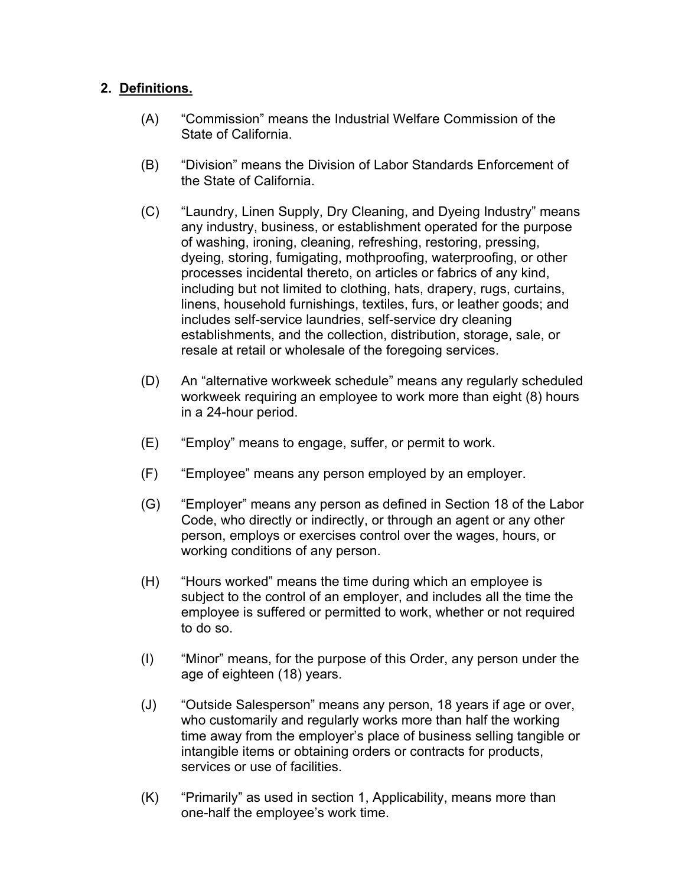## **2. Definitions.**

- (A) "Commission" means the Industrial Welfare Commission of the State of California.
- (B) "Division" means the Division of Labor Standards Enforcement of the State of California.
- (C) "Laundry, Linen Supply, Dry Cleaning, and Dyeing Industry" means any industry, business, or establishment operated for the purpose of washing, ironing, cleaning, refreshing, restoring, pressing, dyeing, storing, fumigating, mothproofing, waterproofing, or other processes incidental thereto, on articles or fabrics of any kind, including but not limited to clothing, hats, drapery, rugs, curtains, linens, household furnishings, textiles, furs, or leather goods; and includes self-service laundries, self-service dry cleaning establishments, and the collection, distribution, storage, sale, or resale at retail or wholesale of the foregoing services.
- (D) An "alternative workweek schedule" means any regularly scheduled workweek requiring an employee to work more than eight (8) hours in a 24-hour period.
- $(E)$ "Employ" means to engage, suffer, or permit to work.
- $(F)$ "Employee" means any person employed by an employer.
- (G) "Employer" means any person as defined in Section 18 of the Labor Code, who directly or indirectly, or through an agent or any other person, employs or exercises control over the wages, hours, or working conditions of any person.
- (H) "Hours worked" means the time during which an employee is subject to the control of an employer, and includes all the time the employee is suffered or permitted to work, whether or not required to do so.
- (I) "Minor" means, for the purpose of this Order, any person under the age of eighteen (18) years.
- (J) "Outside Salesperson" means any person, 18 years if age or over, who customarily and regularly works more than half the working time away from the employer's place of business selling tangible or intangible items or obtaining orders or contracts for products, services or use of facilities.
- $(K)$  "Primarily" as used in section 1, Applicability, means more than one-half the employee's work time.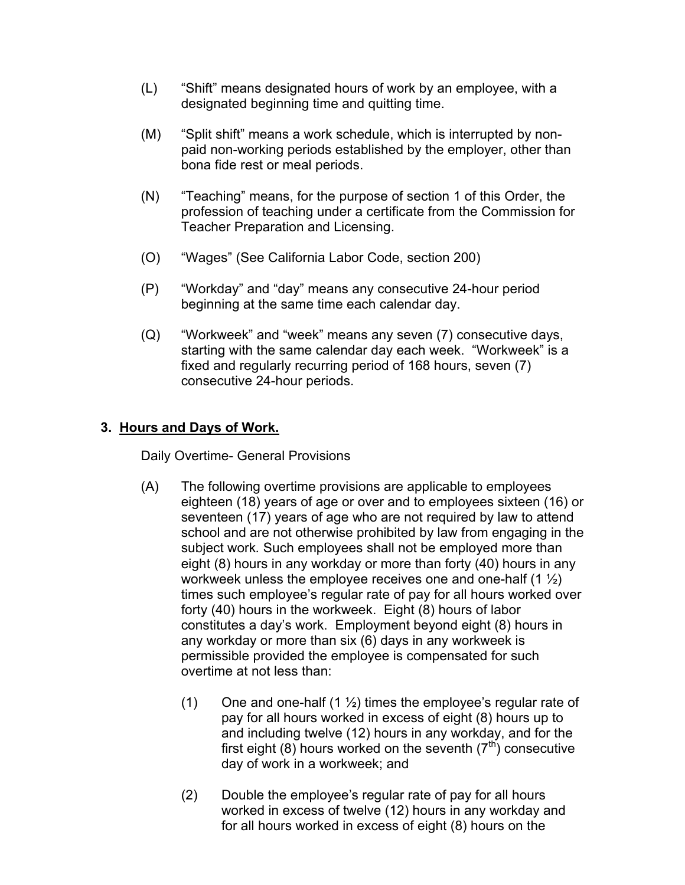- (L) "Shift" means designated hours of work by an employee, with a designated beginning time and quitting time.
- (M) "Split shift" means a work schedule, which is interrupted by nonpaid non-working periods established by the employer, other than bona fide rest or meal periods.
- (N) "Teaching" means, for the purpose of section 1 of this Order, the profession of teaching under a certificate from the Commission for Teacher Preparation and Licensing.
- $(O)$ "Wages" (See California Labor Code, section 200)
- (P) "Workday" and "day" means any consecutive 24-hour period beginning at the same time each calendar day.
- (Q) "Workweek" and "week" means any seven (7) consecutive days, starting with the same calendar day each week. "Workweek" is a fixed and regularly recurring period of 168 hours, seven (7) consecutive 24-hour periods.

## **3. Hours and Days of Work.**

Daily Overtime- General Provisions

- constitutes a day's work. Employment beyond eight (8) hours in (A) The following overtime provisions are applicable to employees eighteen (18) years of age or over and to employees sixteen (16) or seventeen (17) years of age who are not required by law to attend school and are not otherwise prohibited by law from engaging in the subject work*.* Such employees shall not be employed more than eight (8) hours in any workday or more than forty (40) hours in any workweek unless the employee receives one and one-half  $(1 \frac{1}{2})$ times such employee's regular rate of pay for all hours worked over forty (40) hours in the workweek. Eight (8) hours of labor any workday or more than six (6) days in any workweek is permissible provided the employee is compensated for such overtime at not less than:
	- (1) One and one-half (1  $\frac{1}{2}$ ) times the employee's regular rate of pay for all hours worked in excess of eight (8) hours up to and including twelve (12) hours in any workday, and for the first eight (8) hours worked on the seventh  $(7<sup>th</sup>)$  consecutive day of work in a workweek; and
	- (2) Double the employee's regular rate of pay for all hours worked in excess of twelve (12) hours in any workday and for all hours worked in excess of eight (8) hours on the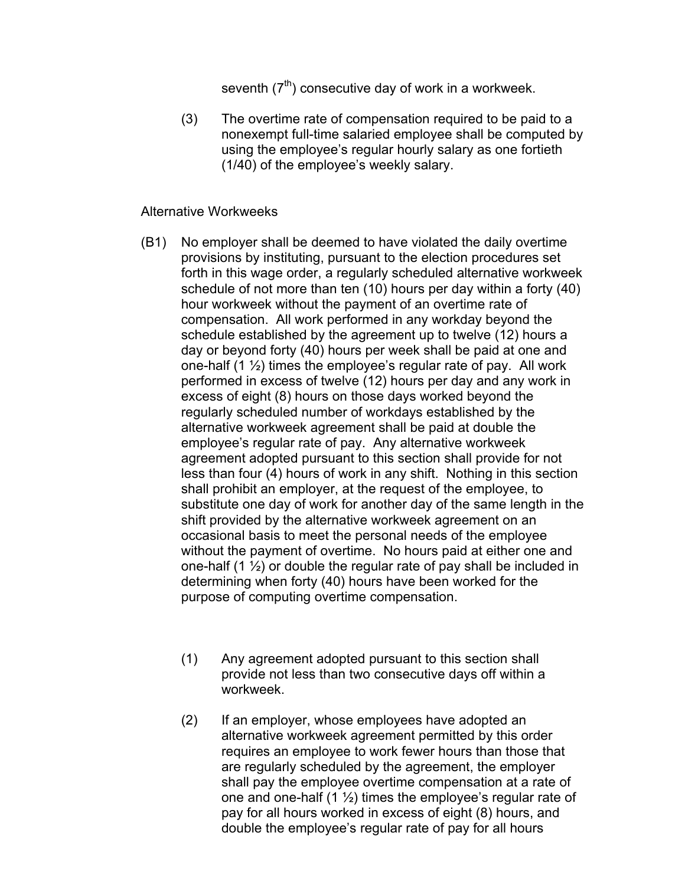seventh  $(7<sup>th</sup>)$  consecutive day of work in a workweek.

(3) The overtime rate of compensation required to be paid to a nonexempt full-time salaried employee shall be computed by using the employee's regular hourly salary as one fortieth (1/40) of the employee's weekly salary.

#### Alternative Workweeks

- (B1) No employer shall be deemed to have violated the daily overtime provisions by instituting, pursuant to the election procedures set forth in this wage order, a regularly scheduled alternative workweek schedule of not more than ten (10) hours per day within a forty (40) hour workweek without the payment of an overtime rate of compensation. All work performed in any workday beyond the schedule established by the agreement up to twelve (12) hours a day or beyond forty (40) hours per week shall be paid at one and one-half  $(1 \frac{1}{2})$  times the employee's regular rate of pay. All work performed in excess of twelve (12) hours per day and any work in excess of eight (8) hours on those days worked beyond the regularly scheduled number of workdays established by the alternative workweek agreement shall be paid at double the employee's regular rate of pay. Any alternative workweek agreement adopted pursuant to this section shall provide for not less than four (4) hours of work in any shift. Nothing in this section shall prohibit an employer, at the request of the employee, to substitute one day of work for another day of the same length in the shift provided by the alternative workweek agreement on an occasional basis to meet the personal needs of the employee without the payment of overtime. No hours paid at either one and one-half  $(1 \frac{1}{2})$  or double the regular rate of pay shall be included in determining when forty (40) hours have been worked for the purpose of computing overtime compensation.
	- (1) Any agreement adopted pursuant to this section shall provide not less than two consecutive days off within a workweek.
	- (2) If an employer, whose employees have adopted an alternative workweek agreement permitted by this order requires an employee to work fewer hours than those that are regularly scheduled by the agreement, the employer shall pay the employee overtime compensation at a rate of one and one-half (1  $\frac{1}{2}$ ) times the employee's regular rate of pay for all hours worked in excess of eight (8) hours, and double the employee's regular rate of pay for all hours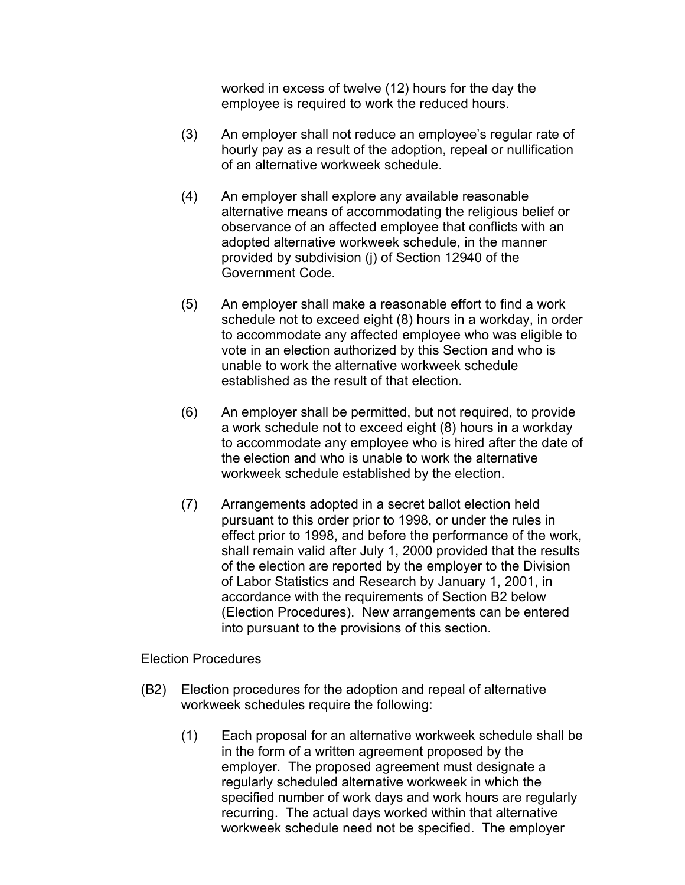worked in excess of twelve (12) hours for the day the employee is required to work the reduced hours.

- (3) An employer shall not reduce an employee's regular rate of hourly pay as a result of the adoption, repeal or nullification of an alternative workweek schedule.
- (4) An employer shall explore any available reasonable alternative means of accommodating the religious belief or observance of an affected employee that conflicts with an adopted alternative workweek schedule, in the manner provided by subdivision (j) of Section 12940 of the Government Code.
- $(5)$  An employer shall make a reasonable effort to find a work schedule not to exceed eight (8) hours in a workday, in order to accommodate any affected employee who was eligible to vote in an election authorized by this Section and who is unable to work the alternative workweek schedule established as the result of that election.
- (6) An employer shall be permitted, but not required, to provide a work schedule not to exceed eight (8) hours in a workday to accommodate any employee who is hired after the date of the election and who is unable to work the alternative workweek schedule established by the election.
- (7) Arrangements adopted in a secret ballot election held pursuant to this order prior to 1998, or under the rules in effect prior to 1998, and before the performance of the work, shall remain valid after July 1, 2000 provided that the results of the election are reported by the employer to the Division of Labor Statistics and Research by January 1, 2001, in accordance with the requirements of Section B2 below (Election Procedures). New arrangements can be entered into pursuant to the provisions of this section.

#### Election Procedures

- (B2) Election procedures for the adoption and repeal of alternative workweek schedules require the following:
	- (1) Each proposal for an alternative workweek schedule shall be in the form of a written agreement proposed by the employer. The proposed agreement must designate a regularly scheduled alternative workweek in which the specified number of work days and work hours are regularly recurring. The actual days worked within that alternative workweek schedule need not be specified. The employer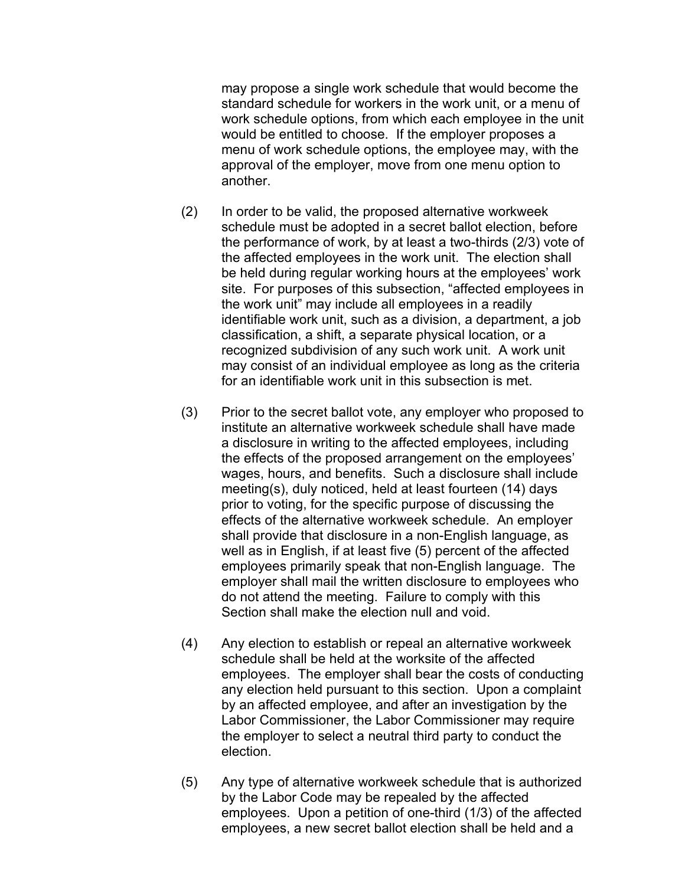may propose a single work schedule that would become the standard schedule for workers in the work unit, or a menu of work schedule options, from which each employee in the unit would be entitled to choose. If the employer proposes a menu of work schedule options, the employee may, with the approval of the employer, move from one menu option to another.

- (2) In order to be valid, the proposed alternative workweek schedule must be adopted in a secret ballot election, before the performance of work, by at least a two-thirds (2/3) vote of the affected employees in the work unit. The election shall be held during regular working hours at the employees' work site. For purposes of this subsection, "affected employees in the work unit" may include all employees in a readily identifiable work unit, such as a division, a department, a job classification, a shift, a separate physical location, or a recognized subdivision of any such work unit. A work unit may consist of an individual employee as long as the criteria for an identifiable work unit in this subsection is met.
- (3) Prior to the secret ballot vote, any employer who proposed to institute an alternative workweek schedule shall have made a disclosure in writing to the affected employees, including the effects of the proposed arrangement on the employees' wages, hours, and benefits. Such a disclosure shall include meeting(s), duly noticed, held at least fourteen (14) days prior to voting, for the specific purpose of discussing the effects of the alternative workweek schedule. An employer shall provide that disclosure in a non-English language, as well as in English, if at least five (5) percent of the affected employees primarily speak that non-English language. The employer shall mail the written disclosure to employees who do not attend the meeting. Failure to comply with this Section shall make the election null and void.
- (4) Any election to establish or repeal an alternative workweek schedule shall be held at the worksite of the affected employees. The employer shall bear the costs of conducting any election held pursuant to this section. Upon a complaint by an affected employee, and after an investigation by the Labor Commissioner, the Labor Commissioner may require the employer to select a neutral third party to conduct the election.
- (5) Any type of alternative workweek schedule that is authorized by the Labor Code may be repealed by the affected employees. Upon a petition of one-third (1/3) of the affected employees, a new secret ballot election shall be held and a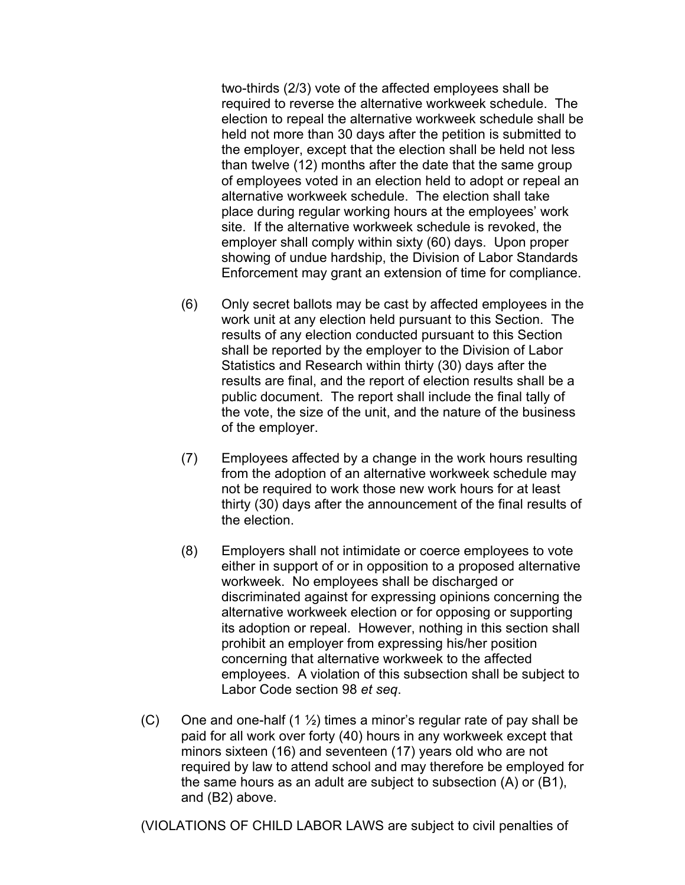two-thirds (2/3) vote of the affected employees shall be required to reverse the alternative workweek schedule. The election to repeal the alternative workweek schedule shall be held not more than 30 days after the petition is submitted to the employer, except that the election shall be held not less than twelve (12) months after the date that the same group of employees voted in an election held to adopt or repeal an alternative workweek schedule. The election shall take place during regular working hours at the employees' work site. If the alternative workweek schedule is revoked, the employer shall comply within sixty (60) days. Upon proper showing of undue hardship, the Division of Labor Standards Enforcement may grant an extension of time for compliance.

- (6) Only secret ballots may be cast by affected employees in the work unit at any election held pursuant to this Section. The results of any election conducted pursuant to this Section shall be reported by the employer to the Division of Labor Statistics and Research within thirty (30) days after the results are final, and the report of election results shall be a public document. The report shall include the final tally of the vote, the size of the unit, and the nature of the business of the employer.
- (7) Employees affected by a change in the work hours resulting from the adoption of an alternative workweek schedule may not be required to work those new work hours for at least thirty (30) days after the announcement of the final results of the election.
- (8) Employers shall not intimidate or coerce employees to vote either in support of or in opposition to a proposed alternative workweek. No employees shall be discharged or discriminated against for expressing opinions concerning the alternative workweek election or for opposing or supporting its adoption or repeal. However, nothing in this section shall prohibit an employer from expressing his/her position concerning that alternative workweek to the affected employees. A violation of this subsection shall be subject to Labor Code section 98 *et seq*.
- (C) One and one-half (1  $\frac{1}{2}$ ) times a minor's regular rate of pay shall be paid for all work over forty (40) hours in any workweek except that minors sixteen (16) and seventeen (17) years old who are not required by law to attend school and may therefore be employed for the same hours as an adult are subject to subsection (A) or (B1), and (B2) above.

(VIOLATIONS OF CHILD LABOR LAWS are subject to civil penalties of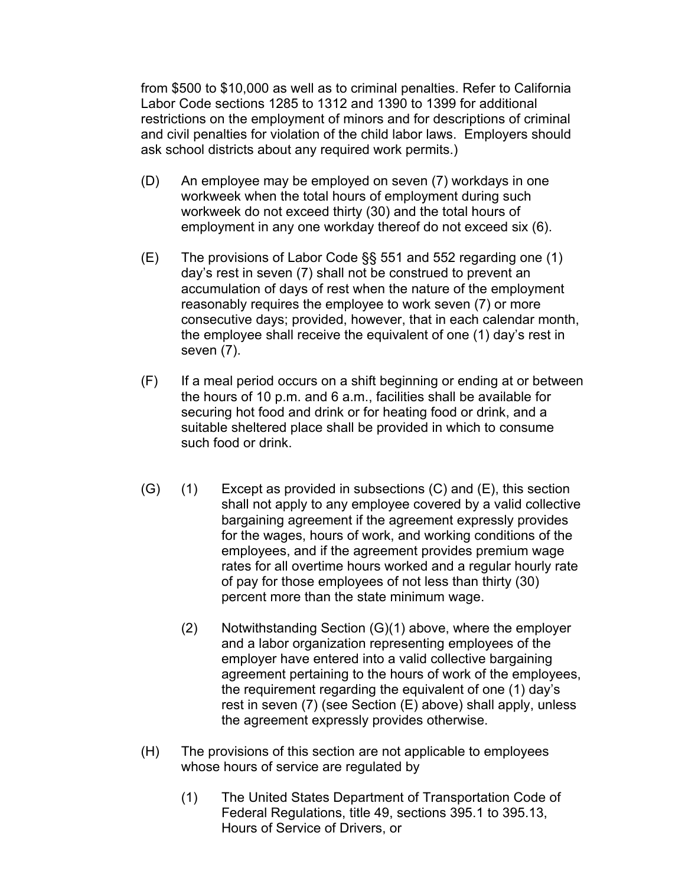from \$500 to \$10,000 as well as to criminal penalties. Refer to California Labor Code sections 1285 to 1312 and 1390 to 1399 for additional restrictions on the employment of minors and for descriptions of criminal and civil penalties for violation of the child labor laws. Employers should ask school districts about any required work permits.)

- (D) An employee may be employed on seven (7) workdays in one workweek when the total hours of employment during such workweek do not exceed thirty (30) and the total hours of employment in any one workday thereof do not exceed six (6).
- $(E)$  The provisions of Labor Code §§ 551 and 552 regarding one (1) day's rest in seven (7) shall not be construed to prevent an accumulation of days of rest when the nature of the employment reasonably requires the employee to work seven (7) or more consecutive days; provided, however, that in each calendar month, the employee shall receive the equivalent of one (1) day's rest in seven (7).
- (F) If a meal period occurs on a shift beginning or ending at or between the hours of 10 p.m. and 6 a.m., facilities shall be available for securing hot food and drink or for heating food or drink, and a suitable sheltered place shall be provided in which to consume such food or drink.
- $(G)$  (1) Except as provided in subsections  $(C)$  and  $(E)$ , this section shall not apply to any employee covered by a valid collective bargaining agreement if the agreement expressly provides for the wages, hours of work, and working conditions of the employees, and if the agreement provides premium wage rates for all overtime hours worked and a regular hourly rate of pay for those employees of not less than thirty (30) percent more than the state minimum wage.
	- $(2)$  Notwithstanding Section  $(G)(1)$  above, where the employer and a labor organization representing employees of the employer have entered into a valid collective bargaining agreement pertaining to the hours of work of the employees, the requirement regarding the equivalent of one (1) day's rest in seven (7) (see Section (E) above) shall apply, unless the agreement expressly provides otherwise.
- (H) The provisions of this section are not applicable to employees whose hours of service are regulated by
	- (1) The United States Department of Transportation Code of Federal Regulations, title 49, sections 395.1 to 395.13, Hours of Service of Drivers, or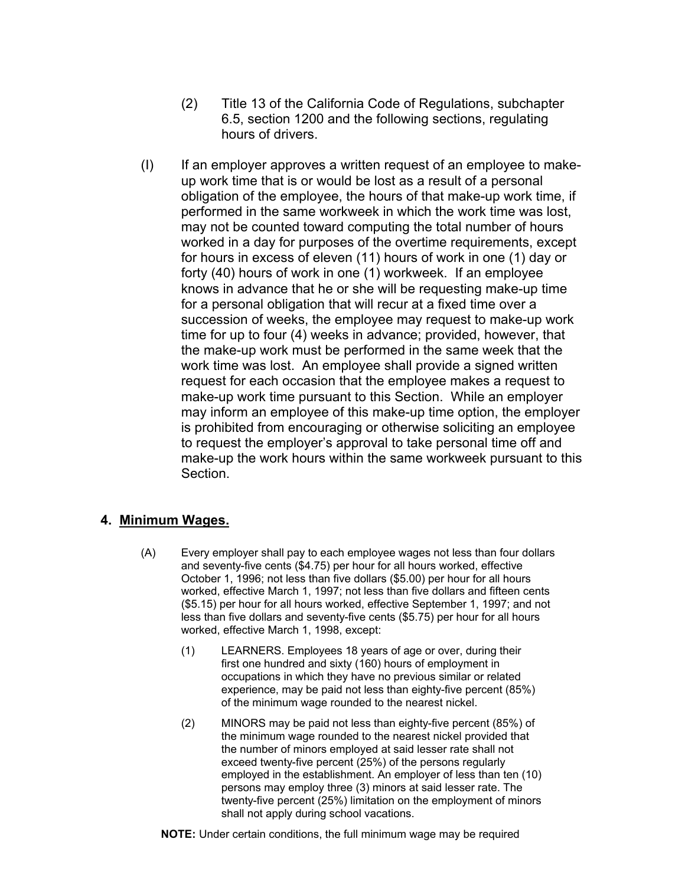- (2) Title 13 of the California Code of Regulations, subchapter 6.5, section 1200 and the following sections, regulating hours of drivers.
- (I) If an employer approves a written request of an employee to makeup work time that is or would be lost as a result of a personal obligation of the employee, the hours of that make-up work time, if performed in the same workweek in which the work time was lost, may not be counted toward computing the total number of hours worked in a day for purposes of the overtime requirements, except for hours in excess of eleven (11) hours of work in one (1) day or forty (40) hours of work in one (1) workweek. If an employee knows in advance that he or she will be requesting make-up time for a personal obligation that will recur at a fixed time over a succession of weeks, the employee may request to make-up work time for up to four (4) weeks in advance; provided, however, that the make-up work must be performed in the same week that the work time was lost. An employee shall provide a signed written request for each occasion that the employee makes a request to make-up work time pursuant to this Section. While an employer may inform an employee of this make-up time option, the employer is prohibited from encouraging or otherwise soliciting an employee to request the employer's approval to take personal time off and make-up the work hours within the same workweek pursuant to this Section.

#### **4. Minimum Wages.**

- (A) Every employer shall pay to each employee wages not less than four dollars and seventy-five cents (\$4.75) per hour for all hours worked, effective October 1, 1996; not less than five dollars (\$5.00) per hour for all hours worked, effective March 1, 1997; not less than five dollars and fifteen cents (\$5.15) per hour for all hours worked, effective September 1, 1997; and not less than five dollars and seventy-five cents (\$5.75) per hour for all hours worked, effective March 1, 1998, except:
	- $(1)$ LEARNERS. Employees 18 years of age or over, during their first one hundred and sixty (160) hours of employment in occupations in which they have no previous similar or related experience, may be paid not less than eighty-five percent (85%) of the minimum wage rounded to the nearest nickel.
	- (2) MINORS may be paid not less than eighty-five percent (85%) of the minimum wage rounded to the nearest nickel provided that the number of minors employed at said lesser rate shall not exceed twenty-five percent (25%) of the persons regularly employed in the establishment. An employer of less than ten (10) persons may employ three (3) minors at said lesser rate. The twenty-five percent (25%) limitation on the employment of minors shall not apply during school vacations.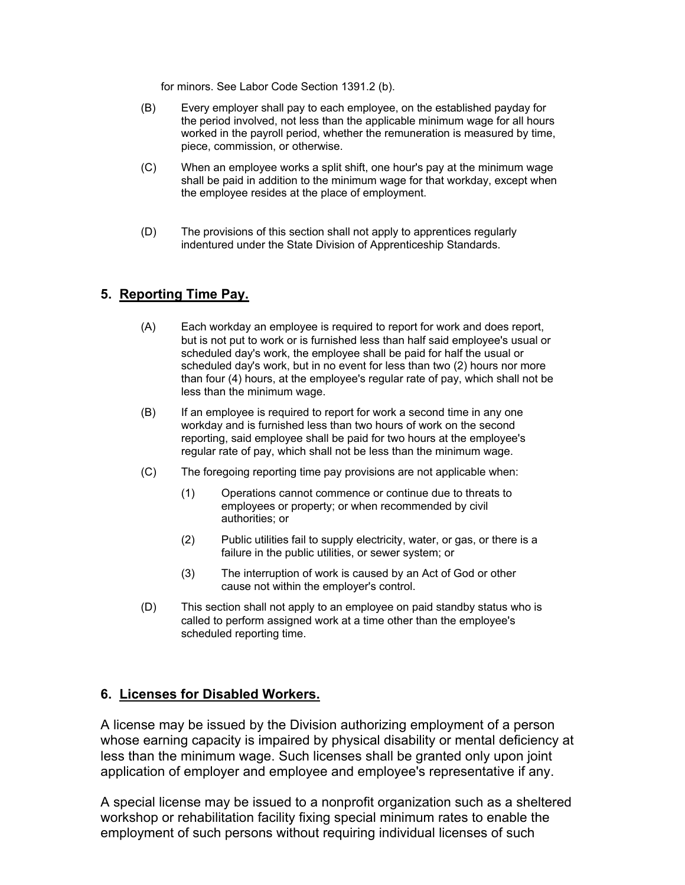for minors. See Labor Code Section 1391.2 (b).

- (B) Every employer shall pay to each employee, on the established payday for the period involved, not less than the applicable minimum wage for all hours worked in the payroll period, whether the remuneration is measured by time, piece, commission, or otherwise.
- (C) When an employee works a split shift, one hour's pay at the minimum wage shall be paid in addition to the minimum wage for that workday, except when the employee resides at the place of employment.
- (D) The provisions of this section shall not apply to apprentices regularly indentured under the State Division of Apprenticeship Standards.

## **5. Reporting Time Pay.**

- (A) Each workday an employee is required to report for work and does report, but is not put to work or is furnished less than half said employee's usual or scheduled day's work, the employee shall be paid for half the usual or scheduled day's work, but in no event for less than two (2) hours nor more than four (4) hours, at the employee's regular rate of pay, which shall not be less than the minimum wage.
- (B) If an employee is required to report for work a second time in any one workday and is furnished less than two hours of work on the second reporting, said employee shall be paid for two hours at the employee's regular rate of pay, which shall not be less than the minimum wage.
- $(C)$ The foregoing reporting time pay provisions are not applicable when:
	- (1) Operations cannot commence or continue due to threats to employees or property; or when recommended by civil authorities; or
	- (2) Public utilities fail to supply electricity, water, or gas, or there is a failure in the public utilities, or sewer system; or
	- (3) The interruption of work is caused by an Act of God or other cause not within the employer's control.
- (D) This section shall not apply to an employee on paid standby status who is called to perform assigned work at a time other than the employee's scheduled reporting time.

## **6. Licenses for Disabled Workers.**

A license may be issued by the Division authorizing employment of a person whose earning capacity is impaired by physical disability or mental deficiency at less than the minimum wage. Such licenses shall be granted only upon joint application of employer and employee and employee's representative if any.

A special license may be issued to a nonprofit organization such as a sheltered workshop or rehabilitation facility fixing special minimum rates to enable the employment of such persons without requiring individual licenses of such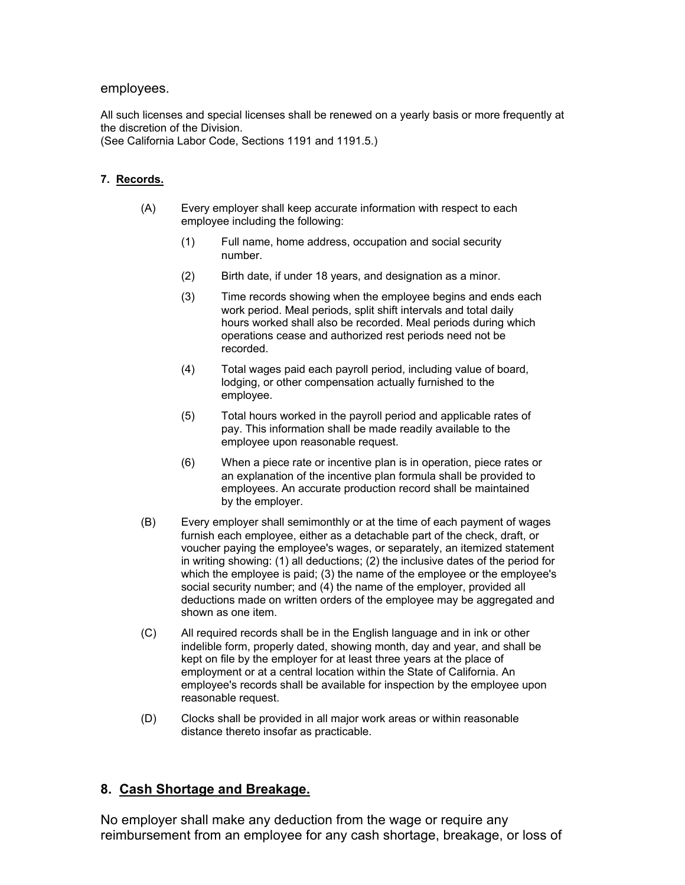#### employees.

All such licenses and special licenses shall be renewed on a yearly basis or more frequently at the discretion of the Division.

(See California Labor Code, Sections 1191 and 1191.5.)

#### **7. Records.**

- (A) Every employer shall keep accurate information with respect to each employee including the following:
	- (1) Full name, home address, occupation and social security number.
	- $(2)$ Birth date, if under 18 years, and designation as a minor.
	- (3) Time records showing when the employee begins and ends each work period. Meal periods, split shift intervals and total daily hours worked shall also be recorded. Meal periods during which operations cease and authorized rest periods need not be recorded.
	- (4) Total wages paid each payroll period, including value of board, lodging, or other compensation actually furnished to the employee.
	- (5) Total hours worked in the payroll period and applicable rates of pay. This information shall be made readily available to the employee upon reasonable request.
	- (6) When a piece rate or incentive plan is in operation, piece rates or an explanation of the incentive plan formula shall be provided to employees. An accurate production record shall be maintained by the employer.
- (B) Every employer shall semimonthly or at the time of each payment of wages furnish each employee, either as a detachable part of the check, draft, or voucher paying the employee's wages, or separately, an itemized statement in writing showing: (1) all deductions; (2) the inclusive dates of the period for which the employee is paid; (3) the name of the employee or the employee's social security number; and (4) the name of the employer, provided all deductions made on written orders of the employee may be aggregated and shown as one item.
- (C) All required records shall be in the English language and in ink or other indelible form, properly dated, showing month, day and year, and shall be kept on file by the employer for at least three years at the place of employment or at a central location within the State of California. An employee's records shall be available for inspection by the employee upon reasonable request.
- (D) Clocks shall be provided in all major work areas or within reasonable distance thereto insofar as practicable.

#### **8. Cash Shortage and Breakage.**

No employer shall make any deduction from the wage or require any reimbursement from an employee for any cash shortage, breakage, or loss of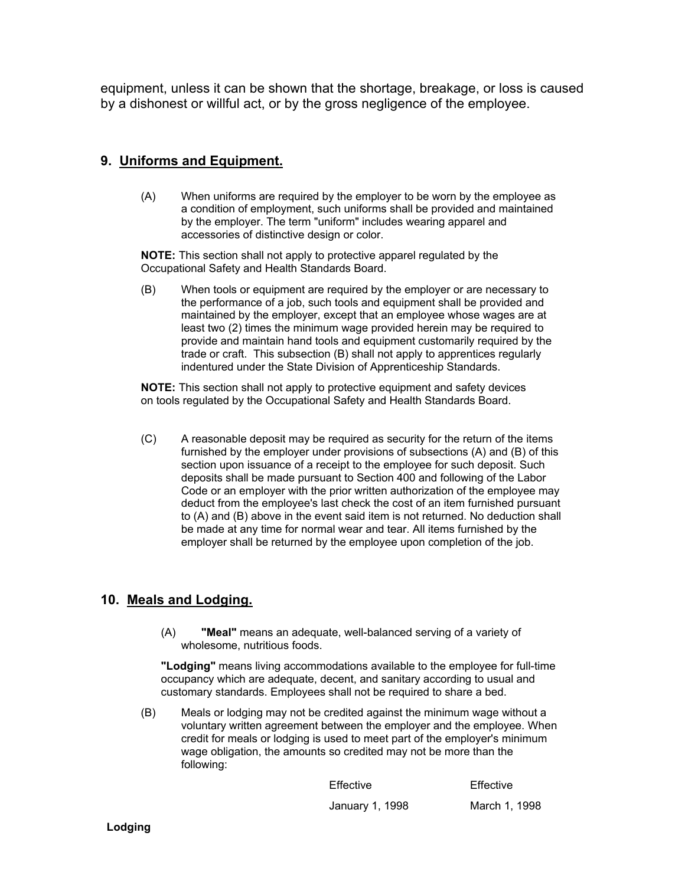equipment, unless it can be shown that the shortage, breakage, or loss is caused by a dishonest or willful act, or by the gross negligence of the employee.

#### **9. Uniforms and Equipment.**

(A) When uniforms are required by the employer to be worn by the employee as a condition of employment, such uniforms shall be provided and maintained by the employer. The term "uniform" includes wearing apparel and accessories of distinctive design or color.

**NOTE:** This section shall not apply to protective apparel regulated by the Occupational Safety and Health Standards Board.

(B) When tools or equipment are required by the employer or are necessary to the performance of a job, such tools and equipment shall be provided and maintained by the employer, except that an employee whose wages are at least two (2) times the minimum wage provided herein may be required to provide and maintain hand tools and equipment customarily required by the trade or craft. This subsection (B) shall not apply to apprentices regularly indentured under the State Division of Apprenticeship Standards.

**NOTE:** This section shall not apply to protective equipment and safety devices on tools regulated by the Occupational Safety and Health Standards Board.

(C) A reasonable deposit may be required as security for the return of the items furnished by the employer under provisions of subsections (A) and (B) of this section upon issuance of a receipt to the employee for such deposit. Such deposits shall be made pursuant to Section 400 and following of the Labor Code or an employer with the prior written authorization of the employee may deduct from the employee's last check the cost of an item furnished pursuant to (A) and (B) above in the event said item is not returned. No deduction shall be made at any time for normal wear and tear. All items furnished by the employer shall be returned by the employee upon completion of the job.

#### **10. Meals and Lodging.**

(A) **"Meal"** means an adequate, well-balanced serving of a variety of wholesome, nutritious foods.

**"Lodging"** means living accommodations available to the employee for full-time occupancy which are adequate, decent, and sanitary according to usual and customary standards. Employees shall not be required to share a bed.

(B) Meals or lodging may not be credited against the minimum wage without a voluntary written agreement between the employer and the employee. When credit for meals or lodging is used to meet part of the employer's minimum wage obligation, the amounts so credited may not be more than the following:

Effective

Effective

January 1, 1998

March 1, 1998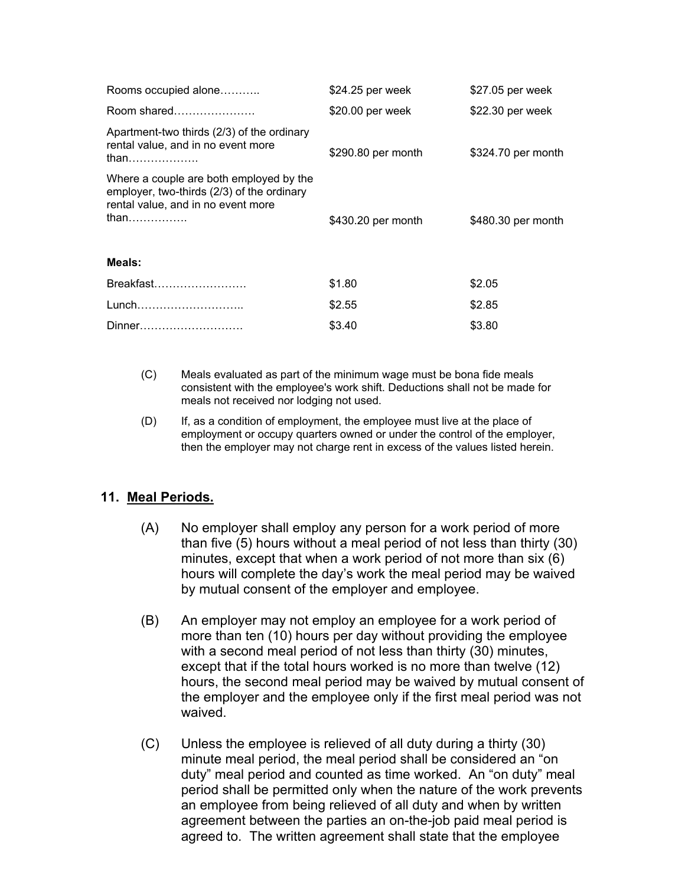| Rooms occupied alone                                                                                                                | \$24.25 per week   | \$27.05 per week   |
|-------------------------------------------------------------------------------------------------------------------------------------|--------------------|--------------------|
| Room shared                                                                                                                         | \$20.00 per week   | \$22.30 per week   |
| Apartment-two thirds (2/3) of the ordinary<br>rental value, and in no event more<br>than                                            | \$290.80 per month | \$324.70 per month |
| Where a couple are both employed by the<br>employer, two-thirds (2/3) of the ordinary<br>rental value, and in no event more<br>than | \$430.20 per month | \$480.30 per month |
| Meals:                                                                                                                              |                    |                    |
| Breakfast                                                                                                                           | \$1.80             | \$2.05             |
| Lunch                                                                                                                               | \$2.55             | \$2.85             |
| Dinner                                                                                                                              | \$3.40             | \$3.80             |

- (C) Meals evaluated as part of the minimum wage must be bona fide meals consistent with the employee's work shift. Deductions shall not be made for meals not received nor lodging not used.
- (D) If, as a condition of employment, the employee must live at the place of employment or occupy quarters owned or under the control of the employer, then the employer may not charge rent in excess of the values listed herein.

#### **11. Meal Periods.**

- (A) No employer shall employ any person for a work period of more than five (5) hours without a meal period of not less than thirty (30) minutes, except that when a work period of not more than six (6) hours will complete the day's work the meal period may be waived by mutual consent of the employer and employee.
- (B) An employer may not employ an employee for a work period of more than ten (10) hours per day without providing the employee with a second meal period of not less than thirty (30) minutes, except that if the total hours worked is no more than twelve (12) hours, the second meal period may be waived by mutual consent of the employer and the employee only if the first meal period was not waived.
- $(C)$  Unless the employee is relieved of all duty during a thirty (30) minute meal period, the meal period shall be considered an "on duty" meal period and counted as time worked. An "on duty" meal period shall be permitted only when the nature of the work prevents an employee from being relieved of all duty and when by written agreement between the parties an on-the-job paid meal period is agreed to. The written agreement shall state that the employee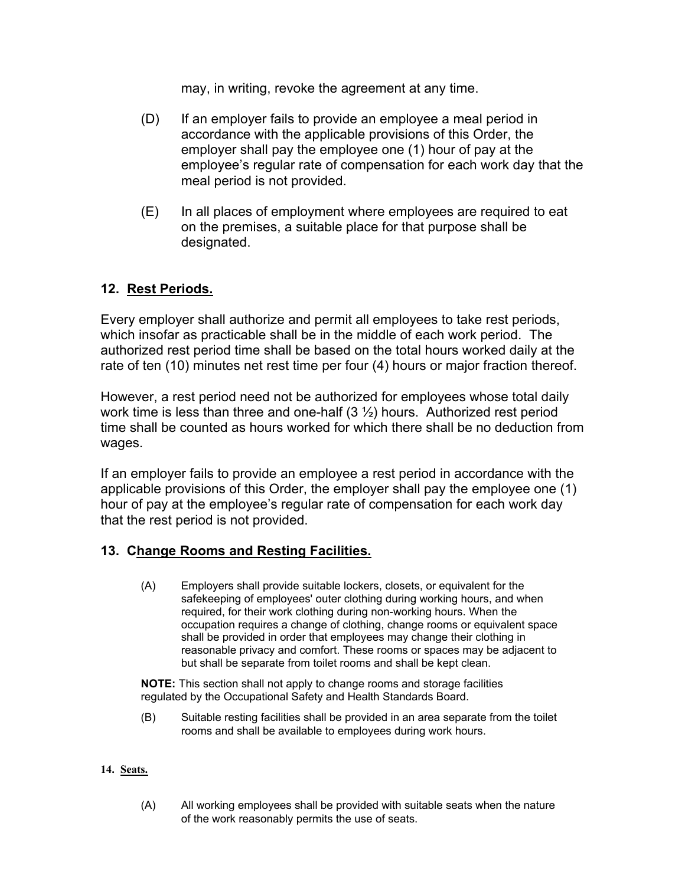may, in writing, revoke the agreement at any time.

- (D) If an employer fails to provide an employee a meal period in accordance with the applicable provisions of this Order, the employer shall pay the employee one (1) hour of pay at the employee's regular rate of compensation for each work day that the meal period is not provided.
- (E) In all places of employment where employees are required to eat on the premises, a suitable place for that purpose shall be designated.

## **12. Rest Periods.**

Every employer shall authorize and permit all employees to take rest periods, which insofar as practicable shall be in the middle of each work period. The authorized rest period time shall be based on the total hours worked daily at the rate of ten (10) minutes net rest time per four (4) hours or major fraction thereof.

However, a rest period need not be authorized for employees whose total daily work time is less than three and one-half  $(3 \frac{1}{2})$  hours. Authorized rest period time shall be counted as hours worked for which there shall be no deduction from wages.

If an employer fails to provide an employee a rest period in accordance with the applicable provisions of this Order, the employer shall pay the employee one (1) hour of pay at the employee's regular rate of compensation for each work day that the rest period is not provided.

#### **13. Change Rooms and Resting Facilities.**

(A) Employers shall provide suitable lockers, closets, or equivalent for the safekeeping of employees' outer clothing during working hours, and when required, for their work clothing during non-working hours. When the occupation requires a change of clothing, change rooms or equivalent space shall be provided in order that employees may change their clothing in reasonable privacy and comfort. These rooms or spaces may be adjacent to but shall be separate from toilet rooms and shall be kept clean.

**NOTE:** This section shall not apply to change rooms and storage facilities regulated by the Occupational Safety and Health Standards Board.

(B) Suitable resting facilities shall be provided in an area separate from the toilet rooms and shall be available to employees during work hours.

#### **14. Seats.**

(A) All working employees shall be provided with suitable seats when the nature of the work reasonably permits the use of seats.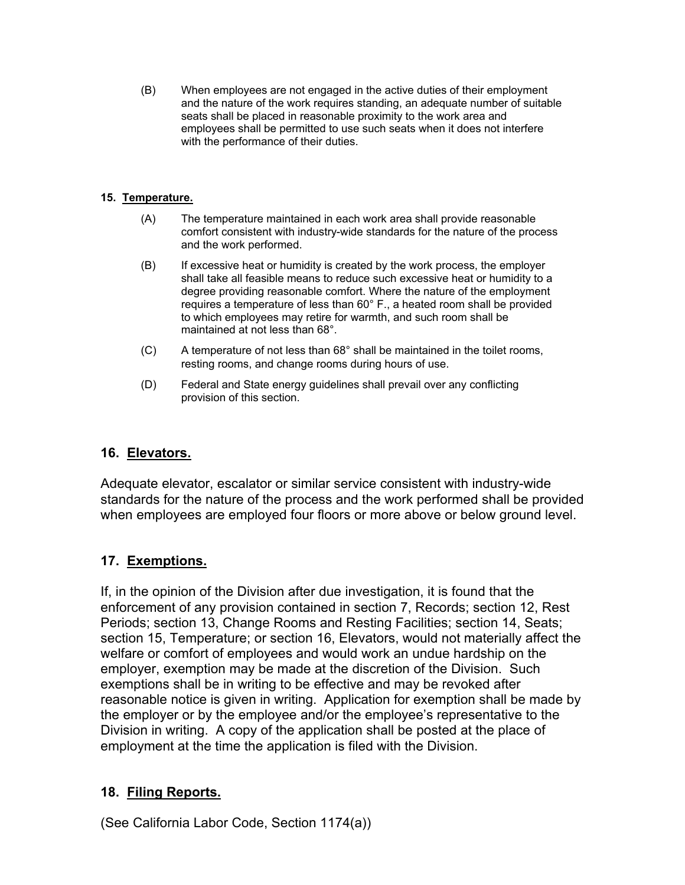(B) When employees are not engaged in the active duties of their employment and the nature of the work requires standing, an adequate number of suitable seats shall be placed in reasonable proximity to the work area and employees shall be permitted to use such seats when it does not interfere with the performance of their duties.

#### **15. Temperature.**

- (A) The temperature maintained in each work area shall provide reasonable comfort consistent with industry-wide standards for the nature of the process and the work performed.
- (B) If excessive heat or humidity is created by the work process, the employer shall take all feasible means to reduce such excessive heat or humidity to a degree providing reasonable comfort. Where the nature of the employment requires a temperature of less than 60° F., a heated room shall be provided to which employees may retire for warmth, and such room shall be maintained at not less than 68°.
- (C) A temperature of not less than 68° shall be maintained in the toilet rooms, resting rooms, and change rooms during hours of use.
- (D) Federal and State energy guidelines shall prevail over any conflicting provision of this section.

#### **16. Elevators.**

Adequate elevator, escalator or similar service consistent with industry-wide standards for the nature of the process and the work performed shall be provided when employees are employed four floors or more above or below ground level.

#### **17. Exemptions.**

If, in the opinion of the Division after due investigation, it is found that the enforcement of any provision contained in section 7, Records; section 12, Rest Periods; section 13, Change Rooms and Resting Facilities; section 14, Seats; section 15, Temperature; or section 16, Elevators, would not materially affect the welfare or comfort of employees and would work an undue hardship on the employer, exemption may be made at the discretion of the Division. Such exemptions shall be in writing to be effective and may be revoked after reasonable notice is given in writing. Application for exemption shall be made by the employer or by the employee and/or the employee's representative to the Division in writing. A copy of the application shall be posted at the place of employment at the time the application is filed with the Division.

#### **18. Filing Reports.**

(See California Labor Code, Section 1174(a))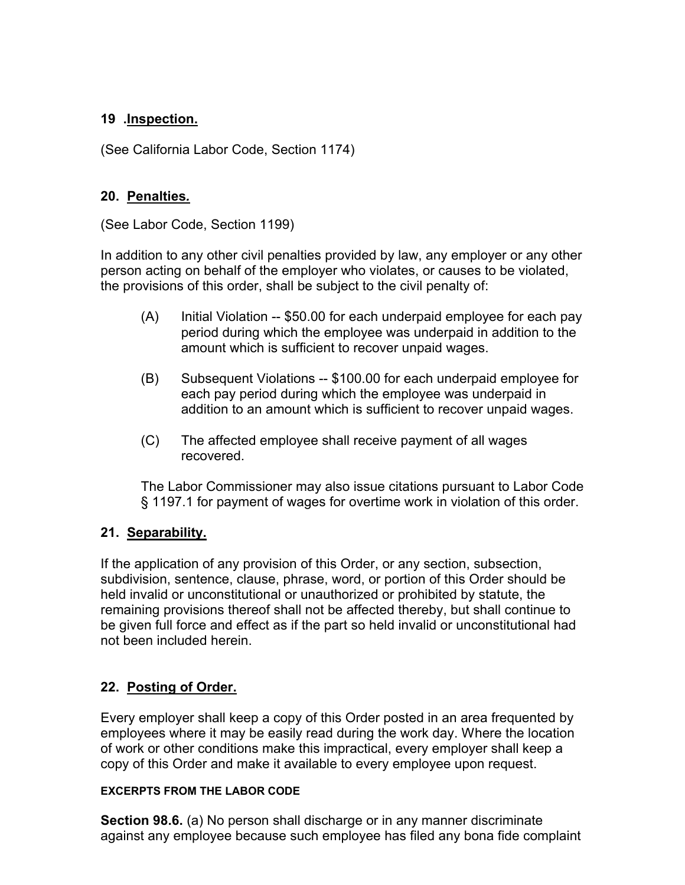### **19 .Inspection.**

(See California Labor Code, Section 1174)

#### **20. Penalties***.*

(See Labor Code, Section 1199)

In addition to any other civil penalties provided by law, any employer or any other person acting on behalf of the employer who violates, or causes to be violated, the provisions of this order, shall be subject to the civil penalty of:

- (A) Initial Violation -- \$50.00 for each underpaid employee for each pay period during which the employee was underpaid in addition to the amount which is sufficient to recover unpaid wages.
- (B) Subsequent Violations -- \$100.00 for each underpaid employee for each pay period during which the employee was underpaid in addition to an amount which is sufficient to recover unpaid wages.
- (C) The affected employee shall receive payment of all wages recovered.

The Labor Commissioner may also issue citations pursuant to Labor Code § 1197.1 for payment of wages for overtime work in violation of this order.

## **21. Separability.**

If the application of any provision of this Order, or any section, subsection, subdivision, sentence, clause, phrase, word, or portion of this Order should be held invalid or unconstitutional or unauthorized or prohibited by statute, the remaining provisions thereof shall not be affected thereby, but shall continue to be given full force and effect as if the part so held invalid or unconstitutional had not been included herein.

## **22. Posting of Order.**

Every employer shall keep a copy of this Order posted in an area frequented by employees where it may be easily read during the work day. Where the location of work or other conditions make this impractical, every employer shall keep a copy of this Order and make it available to every employee upon request.

#### **EXCERPTS FROM THE LABOR CODE**

**Section 98.6.** (a) No person shall discharge or in any manner discriminate against any employee because such employee has filed any bona fide complaint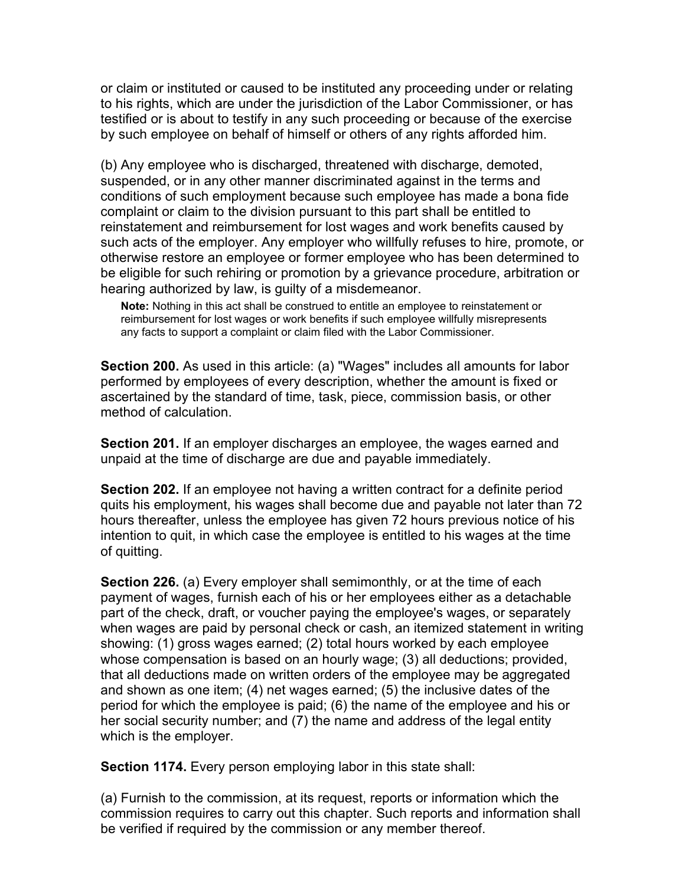or claim or instituted or caused to be instituted any proceeding under or relating to his rights, which are under the jurisdiction of the Labor Commissioner, or has testified or is about to testify in any such proceeding or because of the exercise by such employee on behalf of himself or others of any rights afforded him.

(b) Any employee who is discharged, threatened with discharge, demoted, suspended, or in any other manner discriminated against in the terms and conditions of such employment because such employee has made a bona fide complaint or claim to the division pursuant to this part shall be entitled to reinstatement and reimbursement for lost wages and work benefits caused by such acts of the employer. Any employer who willfully refuses to hire, promote, or otherwise restore an employee or former employee who has been determined to be eligible for such rehiring or promotion by a grievance procedure, arbitration or hearing authorized by law, is guilty of a misdemeanor.

**Note:** Nothing in this act shall be construed to entitle an employee to reinstatement or reimbursement for lost wages or work benefits if such employee willfully misrepresents any facts to support a complaint or claim filed with the Labor Commissioner.

**Section 200.** As used in this article: (a) "Wages" includes all amounts for labor performed by employees of every description, whether the amount is fixed or ascertained by the standard of time, task, piece, commission basis, or other method of calculation.

**Section 201.** If an employer discharges an employee, the wages earned and unpaid at the time of discharge are due and payable immediately.

**Section 202.** If an employee not having a written contract for a definite period quits his employment, his wages shall become due and payable not later than 72 hours thereafter, unless the employee has given 72 hours previous notice of his intention to quit, in which case the employee is entitled to his wages at the time of quitting.

**Section 226.** (a) Every employer shall semimonthly, or at the time of each payment of wages, furnish each of his or her employees either as a detachable part of the check, draft, or voucher paying the employee's wages, or separately when wages are paid by personal check or cash, an itemized statement in writing showing: (1) gross wages earned; (2) total hours worked by each employee whose compensation is based on an hourly wage; (3) all deductions; provided, that all deductions made on written orders of the employee may be aggregated and shown as one item; (4) net wages earned; (5) the inclusive dates of the period for which the employee is paid; (6) the name of the employee and his or her social security number; and (7) the name and address of the legal entity which is the employer.

**Section 1174.** Every person employing labor in this state shall:

(a) Furnish to the commission, at its request, reports or information which the commission requires to carry out this chapter. Such reports and information shall be verified if required by the commission or any member thereof.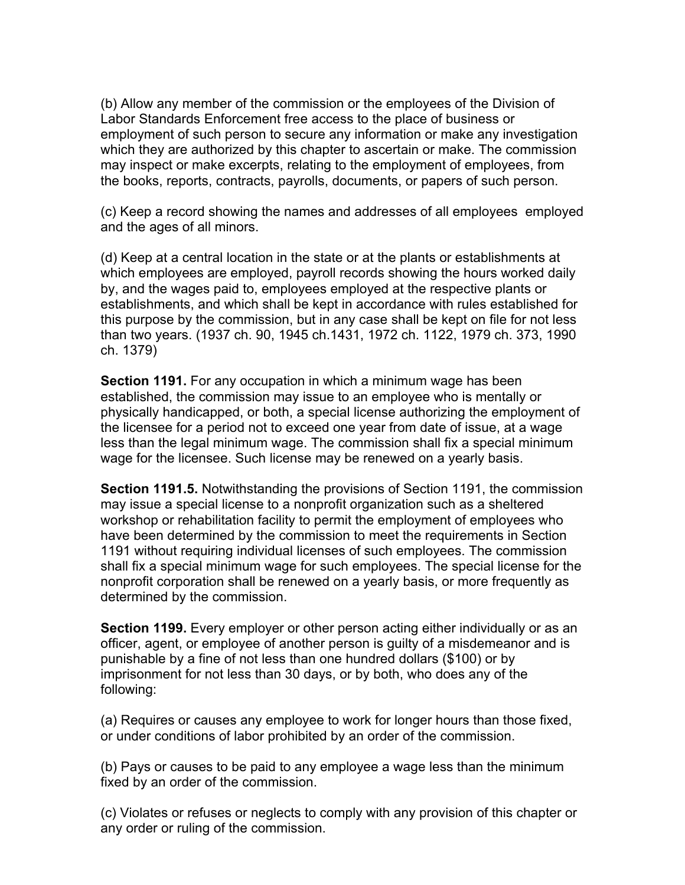(b) Allow any member of the commission or the employees of the Division of Labor Standards Enforcement free access to the place of business or employment of such person to secure any information or make any investigation which they are authorized by this chapter to ascertain or make. The commission may inspect or make excerpts, relating to the employment of employees, from the books, reports, contracts, payrolls, documents, or papers of such person.

(c) Keep a record showing the names and addresses of all employees employed and the ages of all minors.

(d) Keep at a central location in the state or at the plants or establishments at which employees are employed, payroll records showing the hours worked daily by, and the wages paid to, employees employed at the respective plants or establishments, and which shall be kept in accordance with rules established for this purpose by the commission, but in any case shall be kept on file for not less than two years. (1937 ch. 90, 1945 ch.1431, 1972 ch. 1122, 1979 ch. 373, 1990 ch. 1379)

**Section 1191.** For any occupation in which a minimum wage has been established, the commission may issue to an employee who is mentally or physically handicapped, or both, a special license authorizing the employment of the licensee for a period not to exceed one year from date of issue, at a wage less than the legal minimum wage. The commission shall fix a special minimum wage for the licensee. Such license may be renewed on a yearly basis.

**Section 1191.5.** Notwithstanding the provisions of Section 1191, the commission may issue a special license to a nonprofit organization such as a sheltered workshop or rehabilitation facility to permit the employment of employees who have been determined by the commission to meet the requirements in Section 1191 without requiring individual licenses of such employees. The commission shall fix a special minimum wage for such employees. The special license for the nonprofit corporation shall be renewed on a yearly basis, or more frequently as determined by the commission.

**Section 1199.** Every employer or other person acting either individually or as an officer, agent, or employee of another person is guilty of a misdemeanor and is punishable by a fine of not less than one hundred dollars (\$100) or by imprisonment for not less than 30 days, or by both, who does any of the following:

(a) Requires or causes any employee to work for longer hours than those fixed, or under conditions of labor prohibited by an order of the commission.

(b) Pays or causes to be paid to any employee a wage less than the minimum fixed by an order of the commission.

(c) Violates or refuses or neglects to comply with any provision of this chapter or any order or ruling of the commission.